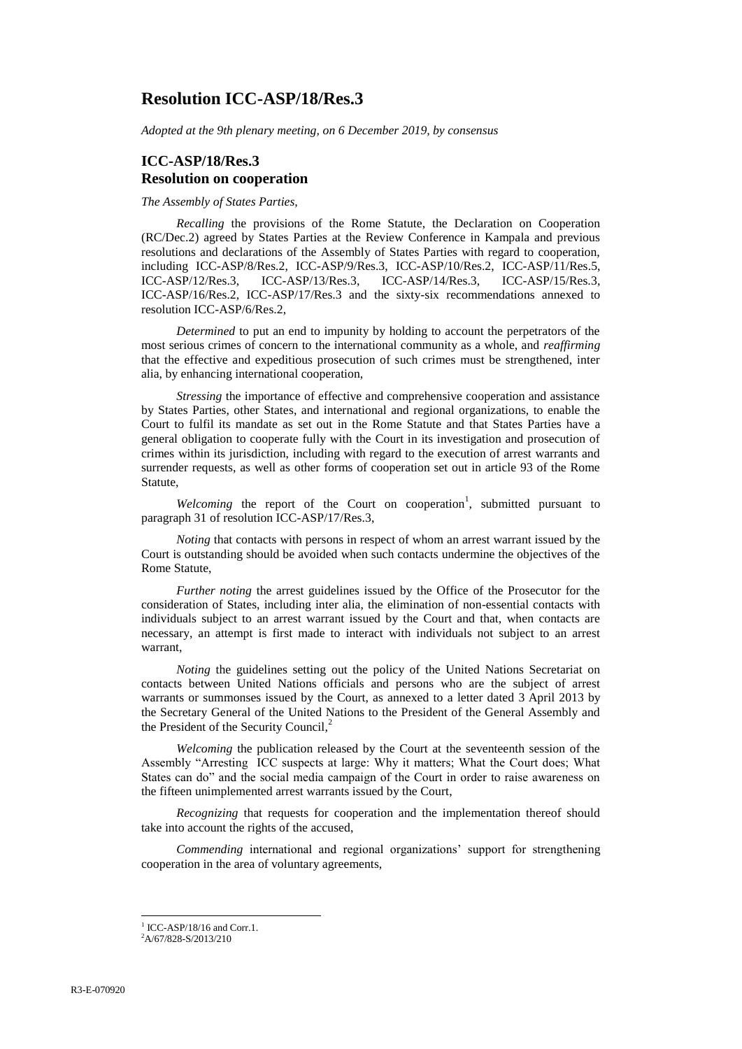## **Resolution ICC-ASP/18/Res.3**

*Adopted at the 9th plenary meeting, on 6 December 2019, by consensus*

## **ICC-ASP/18/Res.3 Resolution on cooperation**

*The Assembly of States Parties,*

*Recalling* the provisions of the Rome Statute, the Declaration on Cooperation (RC/Dec.2) agreed by States Parties at the Review Conference in Kampala and previous resolutions and declarations of the Assembly of States Parties with regard to cooperation, including ICC-ASP/8/Res.2, ICC-ASP/9/Res.3, ICC-ASP/10/Res.2, ICC-ASP/11/Res.5, ICC-ASP/12/Res.3, ICC-ASP/13/Res.3, ICC-ASP/14/Res.3, ICC-ASP/15/Res.3,  $ICC-ASP/13/Res.3$ , ICC-ASP/16/Res.2, ICC-ASP/17/Res.3 and the sixty-six recommendations annexed to resolution ICC-ASP/6/Res.2,

*Determined* to put an end to impunity by holding to account the perpetrators of the most serious crimes of concern to the international community as a whole, and *reaffirming*  that the effective and expeditious prosecution of such crimes must be strengthened, inter alia, by enhancing international cooperation,

*Stressing* the importance of effective and comprehensive cooperation and assistance by States Parties, other States, and international and regional organizations, to enable the Court to fulfil its mandate as set out in the Rome Statute and that States Parties have a general obligation to cooperate fully with the Court in its investigation and prosecution of crimes within its jurisdiction, including with regard to the execution of arrest warrants and surrender requests, as well as other forms of cooperation set out in article 93 of the Rome Statute,

Welcoming the report of the Court on cooperation<sup>1</sup>, submitted pursuant to paragraph 31 of resolution ICC-ASP/17/Res.3,

*Noting* that contacts with persons in respect of whom an arrest warrant issued by the Court is outstanding should be avoided when such contacts undermine the objectives of the Rome Statute,

*Further noting* the arrest guidelines issued by the Office of the Prosecutor for the consideration of States, including inter alia, the elimination of non-essential contacts with individuals subject to an arrest warrant issued by the Court and that, when contacts are necessary, an attempt is first made to interact with individuals not subject to an arrest warrant,

*Noting* the guidelines setting out the policy of the United Nations Secretariat on contacts between United Nations officials and persons who are the subject of arrest warrants or summonses issued by the Court, as annexed to a letter dated 3 April 2013 by the Secretary General of the United Nations to the President of the General Assembly and the President of the Security Council, 2

*Welcoming* the publication released by the Court at the seventeenth session of the Assembly "Arresting ICC suspects at large: Why it matters; What the Court does; What States can do" and the social media campaign of the Court in order to raise awareness on the fifteen unimplemented arrest warrants issued by the Court,

*Recognizing* that requests for cooperation and the implementation thereof should take into account the rights of the accused,

*Commending* international and regional organizations' support for strengthening cooperation in the area of voluntary agreements,

 $\overline{a}$ 

<sup>&</sup>lt;sup>1</sup> ICC-ASP/18/16 and Corr.1.

<sup>2</sup>A/67/828-S/2013/210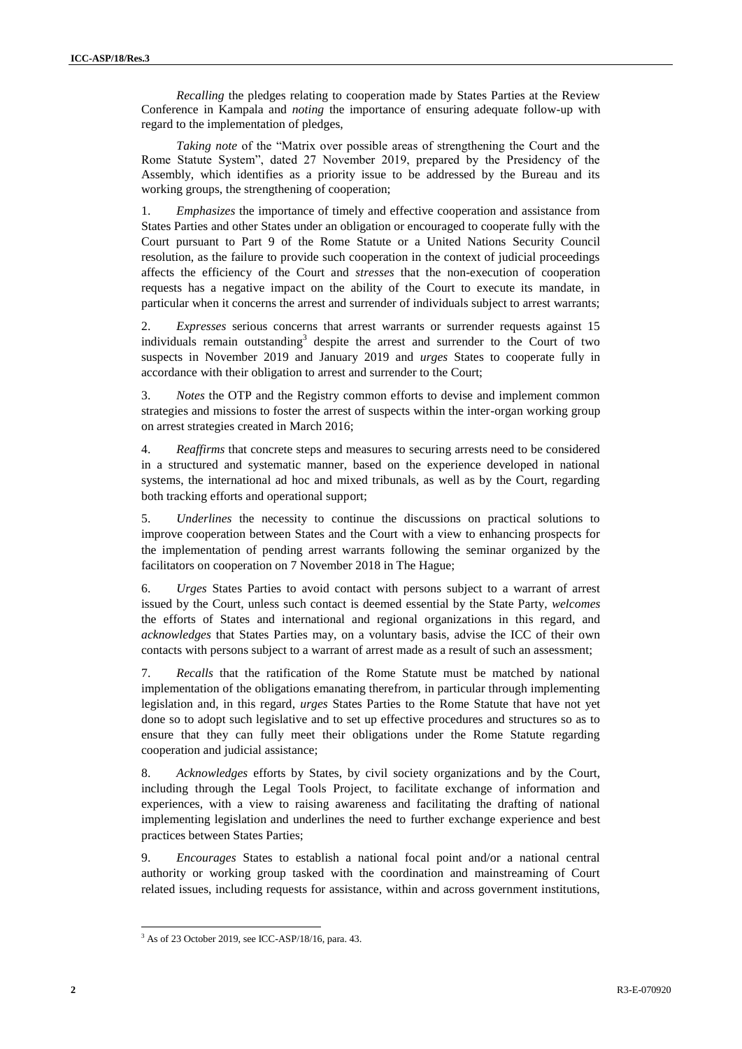*Recalling* the pledges relating to cooperation made by States Parties at the Review Conference in Kampala and *noting* the importance of ensuring adequate follow-up with regard to the implementation of pledges,

*Taking note* of the "Matrix over possible areas of strengthening the Court and the Rome Statute System", dated 27 November 2019, prepared by the Presidency of the Assembly, which identifies as a priority issue to be addressed by the Bureau and its working groups, the strengthening of cooperation;

1. *Emphasizes* the importance of timely and effective cooperation and assistance from States Parties and other States under an obligation or encouraged to cooperate fully with the Court pursuant to Part 9 of the Rome Statute or a United Nations Security Council resolution, as the failure to provide such cooperation in the context of judicial proceedings affects the efficiency of the Court and *stresses* that the non-execution of cooperation requests has a negative impact on the ability of the Court to execute its mandate, in particular when it concerns the arrest and surrender of individuals subject to arrest warrants;

2. *Expresses* serious concerns that arrest warrants or surrender requests against 15 individuals remain outstanding<sup>3</sup> despite the arrest and surrender to the Court of two suspects in November 2019 and January 2019 and *urges* States to cooperate fully in accordance with their obligation to arrest and surrender to the Court;

3. *Notes* the OTP and the Registry common efforts to devise and implement common strategies and missions to foster the arrest of suspects within the inter-organ working group on arrest strategies created in March 2016;

4. *Reaffirms* that concrete steps and measures to securing arrests need to be considered in a structured and systematic manner, based on the experience developed in national systems, the international ad hoc and mixed tribunals, as well as by the Court, regarding both tracking efforts and operational support;

5. *Underlines* the necessity to continue the discussions on practical solutions to improve cooperation between States and the Court with a view to enhancing prospects for the implementation of pending arrest warrants following the seminar organized by the facilitators on cooperation on 7 November 2018 in The Hague;

6. *Urges* States Parties to avoid contact with persons subject to a warrant of arrest issued by the Court, unless such contact is deemed essential by the State Party, *welcomes*  the efforts of States and international and regional organizations in this regard, and *acknowledges* that States Parties may, on a voluntary basis, advise the ICC of their own contacts with persons subject to a warrant of arrest made as a result of such an assessment;

7. *Recalls* that the ratification of the Rome Statute must be matched by national implementation of the obligations emanating therefrom, in particular through implementing legislation and, in this regard, *urges* States Parties to the Rome Statute that have not yet done so to adopt such legislative and to set up effective procedures and structures so as to ensure that they can fully meet their obligations under the Rome Statute regarding cooperation and judicial assistance;

8. *Acknowledges* efforts by States, by civil society organizations and by the Court, including through the Legal Tools Project, to facilitate exchange of information and experiences, with a view to raising awareness and facilitating the drafting of national implementing legislation and underlines the need to further exchange experience and best practices between States Parties;

9. *Encourages* States to establish a national focal point and/or a national central authority or working group tasked with the coordination and mainstreaming of Court related issues, including requests for assistance, within and across government institutions,

l <sup>3</sup> As of 23 October 2019, see ICC-ASP/18/16, para. 43.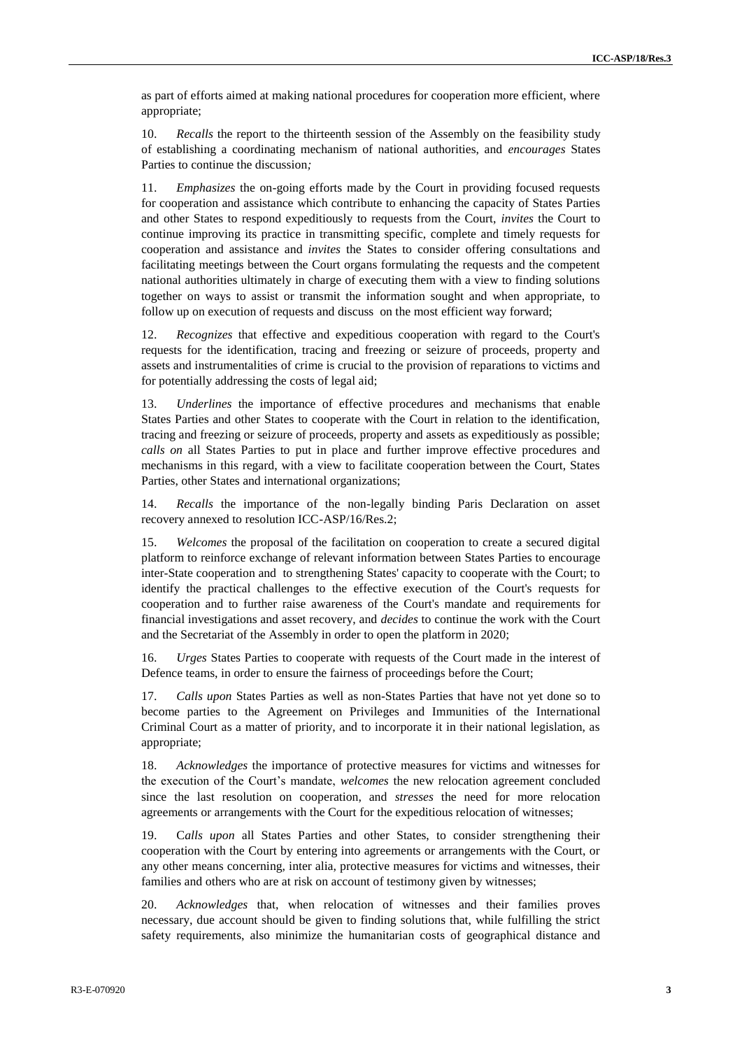as part of efforts aimed at making national procedures for cooperation more efficient, where appropriate;

10. *Recalls* the report to the thirteenth session of the Assembly on the feasibility study of establishing a coordinating mechanism of national authorities, and *encourages* States Parties to continue the discussion*;*

11. *Emphasizes* the on-going efforts made by the Court in providing focused requests for cooperation and assistance which contribute to enhancing the capacity of States Parties and other States to respond expeditiously to requests from the Court, *invites* the Court to continue improving its practice in transmitting specific, complete and timely requests for cooperation and assistance and *invites* the States to consider offering consultations and facilitating meetings between the Court organs formulating the requests and the competent national authorities ultimately in charge of executing them with a view to finding solutions together on ways to assist or transmit the information sought and when appropriate, to follow up on execution of requests and discuss on the most efficient way forward;

12. *Recognizes* that effective and expeditious cooperation with regard to the Court's requests for the identification, tracing and freezing or seizure of proceeds, property and assets and instrumentalities of crime is crucial to the provision of reparations to victims and for potentially addressing the costs of legal aid;

13. *Underlines* the importance of effective procedures and mechanisms that enable States Parties and other States to cooperate with the Court in relation to the identification, tracing and freezing or seizure of proceeds, property and assets as expeditiously as possible; *calls on* all States Parties to put in place and further improve effective procedures and mechanisms in this regard, with a view to facilitate cooperation between the Court, States Parties, other States and international organizations;

14. *Recalls* the importance of the non-legally binding Paris Declaration on asset recovery annexed to resolution ICC-ASP/16/Res.2;

15. *Welcomes* the proposal of the facilitation on cooperation to create a secured digital platform to reinforce exchange of relevant information between States Parties to encourage inter-State cooperation and to strengthening States' capacity to cooperate with the Court; to identify the practical challenges to the effective execution of the Court's requests for cooperation and to further raise awareness of the Court's mandate and requirements for financial investigations and asset recovery, and *decides* to continue the work with the Court and the Secretariat of the Assembly in order to open the platform in 2020;

16. *Urges* States Parties to cooperate with requests of the Court made in the interest of Defence teams, in order to ensure the fairness of proceedings before the Court;

17. *Calls upon* States Parties as well as non-States Parties that have not yet done so to become parties to the Agreement on Privileges and Immunities of the International Criminal Court as a matter of priority, and to incorporate it in their national legislation, as appropriate;

18. *Acknowledges* the importance of protective measures for victims and witnesses for the execution of the Court's mandate, *welcomes* the new relocation agreement concluded since the last resolution on cooperation, and *stresses* the need for more relocation agreements or arrangements with the Court for the expeditious relocation of witnesses;

19. C*alls upon* all States Parties and other States, to consider strengthening their cooperation with the Court by entering into agreements or arrangements with the Court, or any other means concerning, inter alia, protective measures for victims and witnesses, their families and others who are at risk on account of testimony given by witnesses;

20. *Acknowledges* that, when relocation of witnesses and their families proves necessary, due account should be given to finding solutions that, while fulfilling the strict safety requirements, also minimize the humanitarian costs of geographical distance and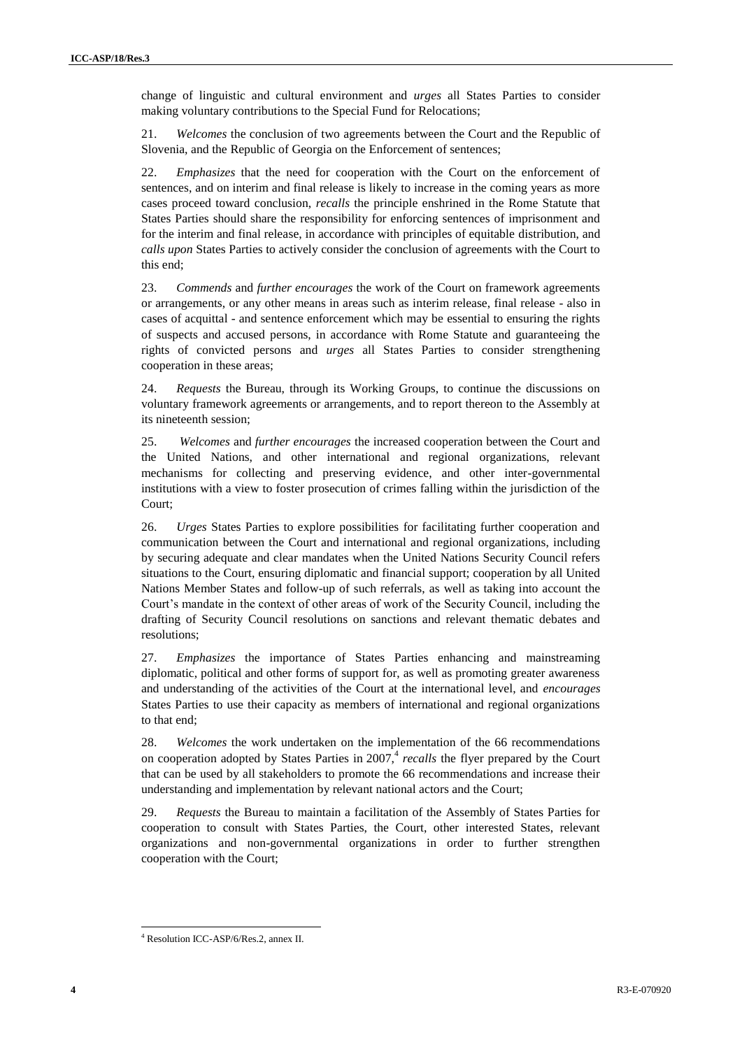change of linguistic and cultural environment and *urges* all States Parties to consider making voluntary contributions to the Special Fund for Relocations;

21. *Welcomes* the conclusion of two agreements between the Court and the Republic of Slovenia, and the Republic of Georgia on the Enforcement of sentences;

22. *Emphasizes* that the need for cooperation with the Court on the enforcement of sentences, and on interim and final release is likely to increase in the coming years as more cases proceed toward conclusion, *recalls* the principle enshrined in the Rome Statute that States Parties should share the responsibility for enforcing sentences of imprisonment and for the interim and final release, in accordance with principles of equitable distribution, and *calls upon* States Parties to actively consider the conclusion of agreements with the Court to this end;

23. *Commends* and *further encourages* the work of the Court on framework agreements or arrangements, or any other means in areas such as interim release, final release - also in cases of acquittal - and sentence enforcement which may be essential to ensuring the rights of suspects and accused persons, in accordance with Rome Statute and guaranteeing the rights of convicted persons and *urges* all States Parties to consider strengthening cooperation in these areas;

24. *Requests* the Bureau, through its Working Groups, to continue the discussions on voluntary framework agreements or arrangements, and to report thereon to the Assembly at its nineteenth session;

25. *Welcomes* and *further encourages* the increased cooperation between the Court and the United Nations, and other international and regional organizations, relevant mechanisms for collecting and preserving evidence, and other inter-governmental institutions with a view to foster prosecution of crimes falling within the jurisdiction of the Court;

26. *Urges* States Parties to explore possibilities for facilitating further cooperation and communication between the Court and international and regional organizations, including by securing adequate and clear mandates when the United Nations Security Council refers situations to the Court, ensuring diplomatic and financial support; cooperation by all United Nations Member States and follow-up of such referrals, as well as taking into account the Court's mandate in the context of other areas of work of the Security Council, including the drafting of Security Council resolutions on sanctions and relevant thematic debates and resolutions;

27. *Emphasizes* the importance of States Parties enhancing and mainstreaming diplomatic, political and other forms of support for, as well as promoting greater awareness and understanding of the activities of the Court at the international level, and *encourages*  States Parties to use their capacity as members of international and regional organizations to that end;

28. *Welcomes* the work undertaken on the implementation of the 66 recommendations on cooperation adopted by States Parties in 2007,<sup>4</sup> recalls the flyer prepared by the Court that can be used by all stakeholders to promote the 66 recommendations and increase their understanding and implementation by relevant national actors and the Court;

29. *Requests* the Bureau to maintain a facilitation of the Assembly of States Parties for cooperation to consult with States Parties, the Court, other interested States, relevant organizations and non-governmental organizations in order to further strengthen cooperation with the Court;

l

<sup>4</sup> Resolution ICC-ASP/6/Res.2, annex II.